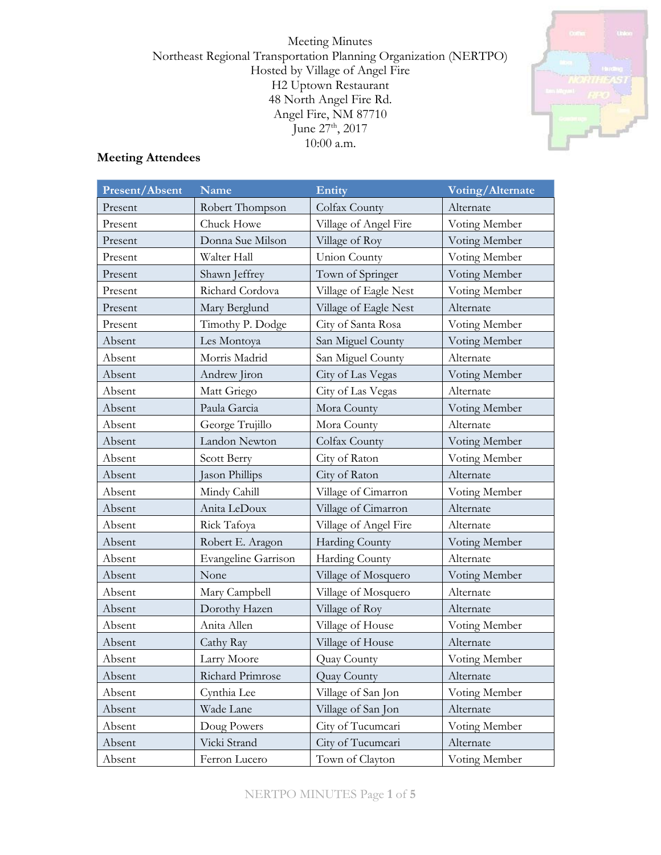Meeting Minutes Northeast Regional Transportation Planning Organization (NERTPO) Hosted by Village of Angel Fire H2 Uptown Restaurant 48 North Angel Fire Rd. Angel Fire, NM 87710 June 27<sup>th</sup>, 2017 10:00 a.m.



# **Meeting Attendees**

| Present/Absent | <b>Name</b>                | Entity                | Voting/Alternate |  |
|----------------|----------------------------|-----------------------|------------------|--|
| Present        | Robert Thompson            | Colfax County         | Alternate        |  |
| Present        | Chuck Howe                 | Village of Angel Fire | Voting Member    |  |
| Present        | Donna Sue Milson           | Village of Roy        | Voting Member    |  |
| Present        | Walter Hall                | <b>Union County</b>   | Voting Member    |  |
| Present        | Shawn Jeffrey              | Town of Springer      | Voting Member    |  |
| Present        | Richard Cordova            | Village of Eagle Nest | Voting Member    |  |
| Present        | Mary Berglund              | Village of Eagle Nest | Alternate        |  |
| Present        | Timothy P. Dodge           | City of Santa Rosa    | Voting Member    |  |
| Absent         | Les Montoya                | San Miguel County     | Voting Member    |  |
| Absent         | Morris Madrid              | San Miguel County     | Alternate        |  |
| Absent         | Andrew Jiron               | City of Las Vegas     | Voting Member    |  |
| Absent         | Matt Griego                | City of Las Vegas     | Alternate        |  |
| Absent         | Paula Garcia               | Mora County           | Voting Member    |  |
| Absent         | George Trujillo            | Mora County           | Alternate        |  |
| Absent         | Landon Newton              | Colfax County         | Voting Member    |  |
| Absent         | Scott Berry                | City of Raton         | Voting Member    |  |
| Absent         | Jason Phillips             | City of Raton         | Alternate        |  |
| Absent         | Mindy Cahill               | Village of Cimarron   | Voting Member    |  |
| Absent         | Anita LeDoux               | Village of Cimarron   | Alternate        |  |
| Absent         | Rick Tafoya                | Village of Angel Fire | Alternate        |  |
| Absent         | Robert E. Aragon           | Harding County        | Voting Member    |  |
| Absent         | <b>Evangeline Garrison</b> | Harding County        | Alternate        |  |
| Absent         | None                       | Village of Mosquero   | Voting Member    |  |
| Absent         | Mary Campbell              | Village of Mosquero   | Alternate        |  |
| Absent         | Dorothy Hazen              | Village of Roy        | Alternate        |  |
| Absent         | Anita Allen                | Village of House      | Voting Member    |  |
| Absent         | Cathy Ray                  | Village of House      | Alternate        |  |
| Absent         | Larry Moore                | Quay County           | Voting Member    |  |
| Absent         | Richard Primrose           | Quay County           | Alternate        |  |
| Absent         | Cynthia Lee                | Village of San Jon    | Voting Member    |  |
| Absent         | Wade Lane                  | Village of San Jon    | Alternate        |  |
| Absent         | Doug Powers                | City of Tucumcari     | Voting Member    |  |
| Absent         | Vicki Strand               | City of Tucumcari     | Alternate        |  |
| Absent         | Ferron Lucero              | Town of Clayton       | Voting Member    |  |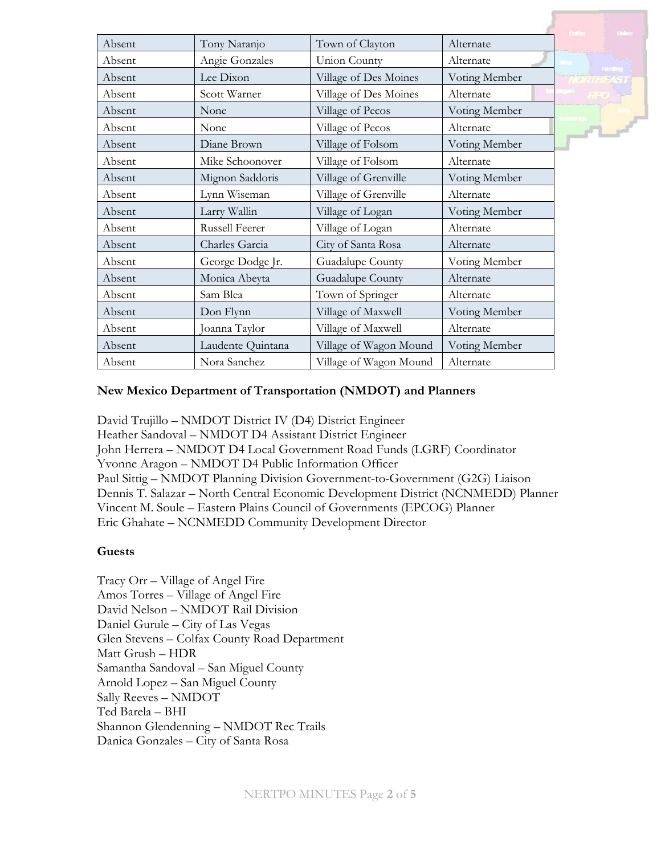|        |                       |                        |               | Linker          |
|--------|-----------------------|------------------------|---------------|-----------------|
| Absent | Tony Naranjo          | Town of Clayton        | Alternate     |                 |
| Absent | Angie Gonzales        | Union County           | Alternate     | <b>Terrange</b> |
| Absent | Lee Dixon             | Village of Des Moines  | Voting Member | THEAS.          |
| Absent | Scott Warner          | Village of Des Moines  | Alternate     |                 |
| Absent | None                  | Village of Pecos       | Voting Member |                 |
| Absent | None                  | Village of Pecos       | Alternate     | $F1 - f$        |
| Absent | Diane Brown           | Village of Folsom      | Voting Member |                 |
| Absent | Mike Schoonover       | Village of Folsom      | Alternate     |                 |
| Absent | Mignon Saddoris       | Village of Grenville   | Voting Member |                 |
| Absent | Lynn Wiseman          | Village of Grenville   | Alternate     |                 |
| Absent | Larry Wallin          | Village of Logan       | Voting Member |                 |
| Absent | <b>Russell Feerer</b> | Village of Logan       | Alternate     |                 |
| Absent | Charles Garcia        | City of Santa Rosa     | Alternate     |                 |
| Absent | George Dodge Jr.      | Guadalupe County       | Voting Member |                 |
| Absent | Monica Abeyta         | Guadalupe County       | Alternate     |                 |
| Absent | Sam Blea              | Town of Springer       | Alternate     |                 |
| Absent | Don Flynn             | Village of Maxwell     | Voting Member |                 |
| Absent | Joanna Taylor         | Village of Maxwell     | Alternate     |                 |
| Absent | Laudente Quintana     | Village of Wagon Mound | Voting Member |                 |
| Absent | Nora Sanchez          | Village of Wagon Mound | Alternate     |                 |

#### **New Mexico Department of Transportation (NMDOT) and Planners**

David Trujillo – NMDOT District IV (D4) District Engineer Heather Sandoval – NMDOT D4 Assistant District Engineer John Herrera – NMDOT D4 Local Government Road Funds (LGRF) Coordinator Yvonne Aragon – NMDOT D4 Public Information Officer Paul Sittig – NMDOT Planning Division Government-to-Government (G2G) Liaison Dennis T. Salazar – North Central Economic Development District (NCNMEDD) Planner Vincent M. Soule – Eastern Plains Council of Governments (EPCOG) Planner Eric Ghahate – NCNMEDD Community Development Director

#### **Guests**

Tracy Orr – Village of Angel Fire Amos Torres – Village of Angel Fire David Nelson – NMDOT Rail Division Daniel Gurule – City of Las Vegas Glen Stevens – Colfax County Road Department Matt Grush – HDR Samantha Sandoval – San Miguel County Arnold Lopez – San Miguel County Sally Reeves – NMDOT Ted Barela – BHI Shannon Glendenning – NMDOT Rec Trails Danica Gonzales – City of Santa Rosa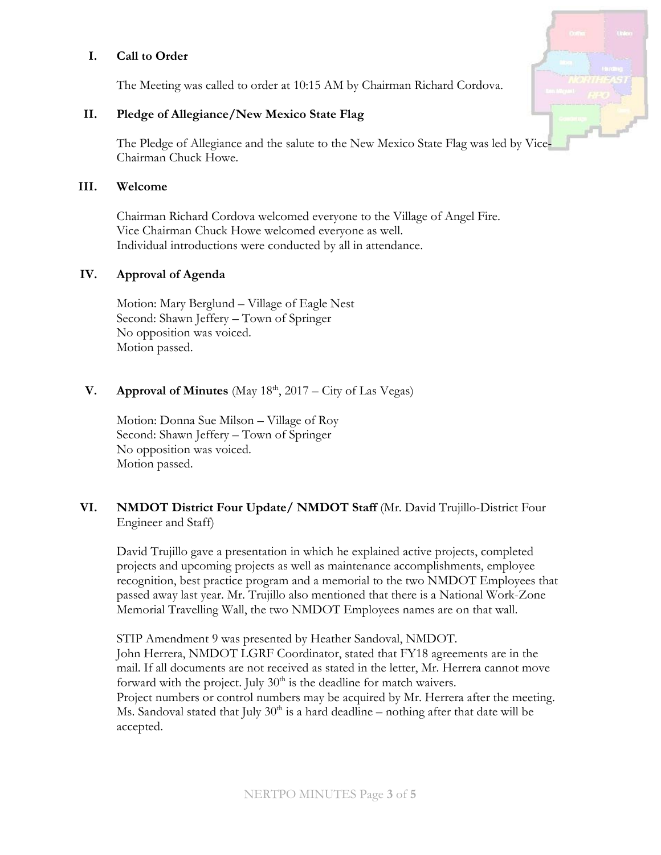#### **I. Call to Order**

The Meeting was called to order at 10:15 AM by Chairman Richard Cordova.

### **II. Pledge of Allegiance/New Mexico State Flag**

The Pledge of Allegiance and the salute to the New Mexico State Flag was led by Vice-Chairman Chuck Howe.

### **III. Welcome**

Chairman Richard Cordova welcomed everyone to the Village of Angel Fire. Vice Chairman Chuck Howe welcomed everyone as well. Individual introductions were conducted by all in attendance.

### **IV. Approval of Agenda**

Motion: Mary Berglund – Village of Eagle Nest Second: Shawn Jeffery – Town of Springer No opposition was voiced. Motion passed.

# **V. Approval of Minutes** (May  $18<sup>th</sup>$ , 2017 – City of Las Vegas)

Motion: Donna Sue Milson – Village of Roy Second: Shawn Jeffery – Town of Springer No opposition was voiced. Motion passed.

## **VI. NMDOT District Four Update/ NMDOT Staff** (Mr. David Trujillo-District Four Engineer and Staff)

David Trujillo gave a presentation in which he explained active projects, completed projects and upcoming projects as well as maintenance accomplishments, employee recognition, best practice program and a memorial to the two NMDOT Employees that passed away last year. Mr. Trujillo also mentioned that there is a National Work-Zone Memorial Travelling Wall, the two NMDOT Employees names are on that wall.

STIP Amendment 9 was presented by Heather Sandoval, NMDOT. John Herrera, NMDOT LGRF Coordinator, stated that FY18 agreements are in the mail. If all documents are not received as stated in the letter, Mr. Herrera cannot move forward with the project. July  $30<sup>th</sup>$  is the deadline for match waivers. Project numbers or control numbers may be acquired by Mr. Herrera after the meeting. Ms. Sandoval stated that July  $30<sup>th</sup>$  is a hard deadline – nothing after that date will be accepted.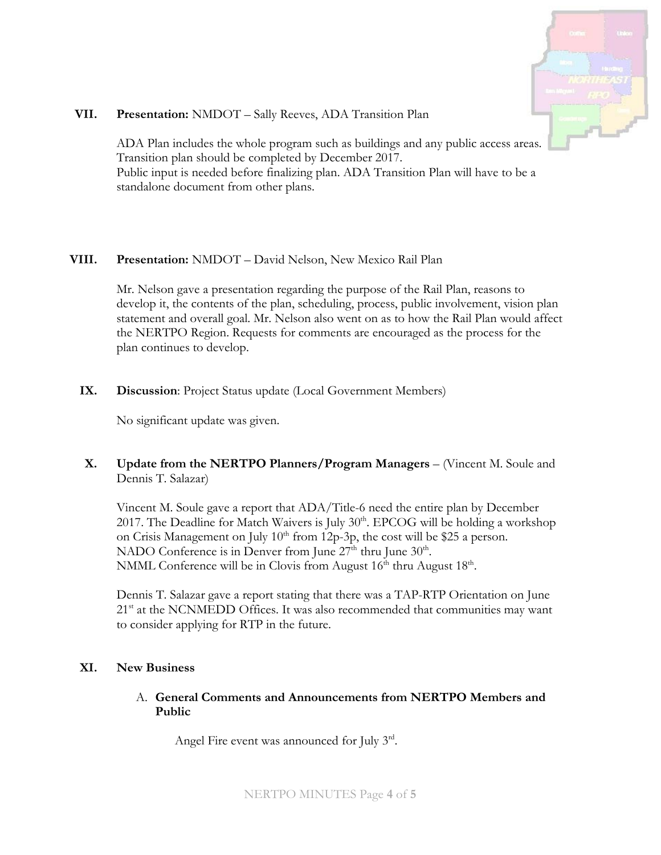

#### **VII. Presentation:** NMDOT – Sally Reeves, ADA Transition Plan

ADA Plan includes the whole program such as buildings and any public access areas. Transition plan should be completed by December 2017. Public input is needed before finalizing plan. ADA Transition Plan will have to be a standalone document from other plans.

### **VIII. Presentation:** NMDOT – David Nelson, New Mexico Rail Plan

Mr. Nelson gave a presentation regarding the purpose of the Rail Plan, reasons to develop it, the contents of the plan, scheduling, process, public involvement, vision plan statement and overall goal. Mr. Nelson also went on as to how the Rail Plan would affect the NERTPO Region. Requests for comments are encouraged as the process for the plan continues to develop.

## **IX. Discussion**: Project Status update (Local Government Members)

No significant update was given.

## **X. Update from the NERTPO Planners/Program Managers** – (Vincent M. Soule and Dennis T. Salazar)

Vincent M. Soule gave a report that ADA/Title-6 need the entire plan by December 2017. The Deadline for Match Waivers is July  $30<sup>th</sup>$ . EPCOG will be holding a workshop on Crisis Management on July  $10<sup>th</sup>$  from 12p-3p, the cost will be \$25 a person. NADO Conference is in Denver from June  $27<sup>th</sup>$  thru June  $30<sup>th</sup>$ . NMML Conference will be in Clovis from August 16<sup>th</sup> thru August 18<sup>th</sup>.

Dennis T. Salazar gave a report stating that there was a TAP-RTP Orientation on June  $21<sup>st</sup>$  at the NCNMEDD Offices. It was also recommended that communities may want to consider applying for RTP in the future.

## **XI. New Business**

### A. **General Comments and Announcements from NERTPO Members and Public**

Angel Fire event was announced for July 3rd.